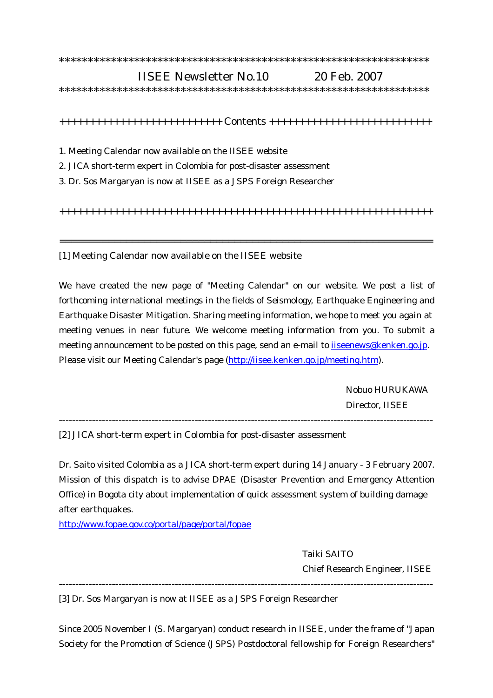## \*\*\*\*\*\*\*\*\*\*\*\*\*\*\*\*\*\*\*\*\*\*\*\*\*\*\*\*\*\*\*\*\*\*\*\*\*\*\*\*\*\*\*\*\*\*\*\*\*\*\*\*\*\*\*\*\*\*\*\*\*\*\*\*

## IISEE Newsletter No.10 20 Feb. 2007

\*\*\*\*\*\*\*\*\*\*\*\*\*\*\*\*\*\*\*\*\*\*\*\*\*\*\*\*\*\*\*\*\*\*\*\*\*\*\*\*\*\*\*\*\*\*\*\*\*\*\*\*\*\*\*\*\*\*\*\*\*\*\*\*

+++++++++++++++++++++++++++ Contents +++++++++++++++++++++++++++

- 1. Meeting Calendar now available on the IISEE website
- 2. JICA short-term expert in Colombia for post-disaster assessment
- 3. Dr. Sos Margaryan is now at IISEE as a JSPS Foreign Researcher

++++++++++++++++++++++++++++++++++++++++++++++++++++++++++++++

==============================================================

[1] Meeting Calendar now available on the IISEE website

We have created the new page of "Meeting Calendar" on our website. We post a list of forthcoming international meetings in the fields of Seismology, Earthquake Engineering and Earthquake Disaster Mitigation. Sharing meeting information, we hope to meet you again at meeting venues in near future. We welcome meeting information from you. To submit a meeting announcement to be posted on this page, send an e-mail to iiseenews@kenken.go.jp. Please visit our Meeting Calendar's page (http://iisee.kenken.go.jp/meeting.htm).

> Nobuo HURUKAWA Director, IISEE

-----------------------------------------------------------------------------------------------------------------

[2] JICA short-term expert in Colombia for post-disaster assessment

Dr. Saito visited Colombia as a JICA short-term expert during 14 January - 3 February 2007. Mission of this dispatch is to advise DPAE (Disaster Prevention and Emergency Attention Office) in Bogota city about implementation of quick assessment system of building damage after earthquakes.

http://www.fopae.gov.co/portal/page/portal/fopae

 Taiki SAITO Chief Research Engineer, IISEE

[3] Dr. Sos Margaryan is now at IISEE as a JSPS Foreign Researcher

Since 2005 November I (S. Margaryan) conduct research in IISEE, under the frame of "Japan Society for the Promotion of Science (JSPS) Postdoctoral fellowship for Foreign Researchers"

-----------------------------------------------------------------------------------------------------------------